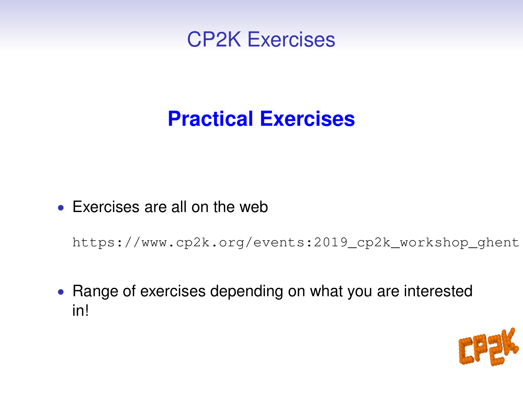

# **Practical Exercises**

• Exercises are all on the web

https://www.cp2k.org/events:2019\_cp2k\_workshop\_ghent

• Range of exercises depending on what you are interested in!

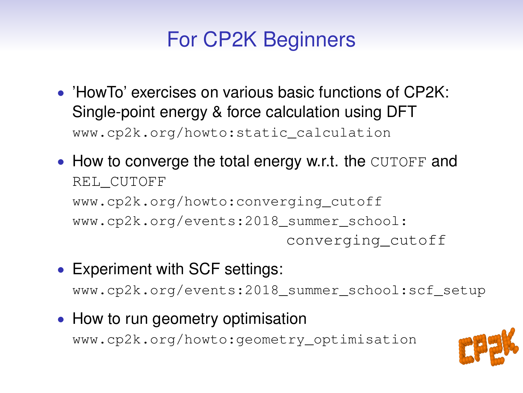# For CP2K Beginners

- 'HowTo' exercises on various basic functions of CP2K: Single-point energy & force calculation using DFT www.cp2k.org/howto:static\_calculation
- How to converge the total energy w.r.t. the CUTOFF and REL\_CUTOFF www.cp2k.org/howto:converging\_cutoff www.cp2k.org/events:2018\_summer\_school: converging\_cutoff
- Experiment with SCF settings: www.cp2k.org/events:2018\_summer\_school:scf\_setup
- How to run geometry optimisation www.cp2k.org/howto:geometry\_optimisation

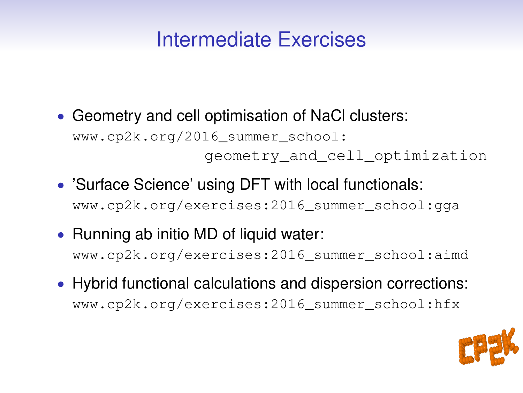## Intermediate Exercises

- Geometry and cell optimisation of NaCl clusters: www.cp2k.org/2016\_summer\_school: geometry\_and\_cell\_optimization
- 'Surface Science' using DFT with local functionals: www.cp2k.org/exercises:2016\_summer\_school:gga
- Running ab initio MD of liquid water: www.cp2k.org/exercises:2016\_summer\_school:aimd
- Hybrid functional calculations and dispersion corrections: www.cp2k.org/exercises:2016\_summer\_school:hfx

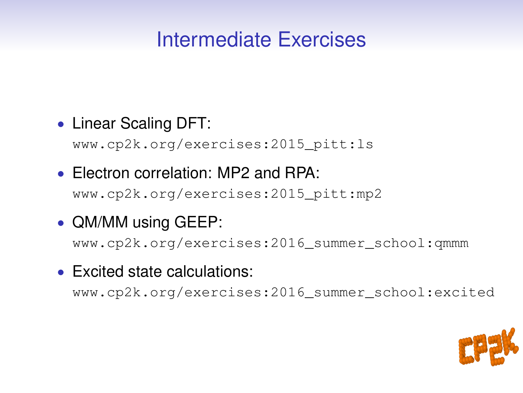### Intermediate Exercises

#### • Linear Scaling DFT:

www.cp2k.org/exercises:2015\_pitt:ls

#### • Electron correlation: MP2 and RPA: www.cp2k.org/exercises:2015\_pitt:mp2

### • QM/MM using GEEP:

www.cp2k.org/exercises:2016\_summer\_school:qmmm

#### • Excited state calculations:

www.cp2k.org/exercises:2016\_summer\_school:excited

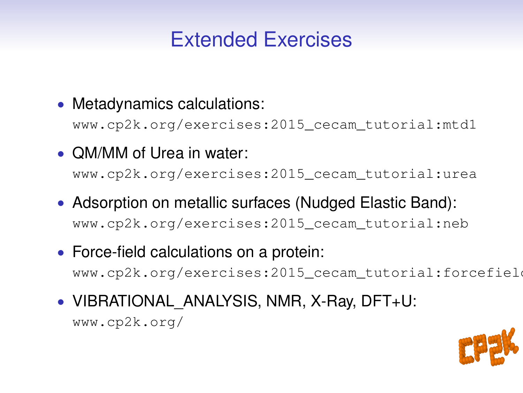## Extended Exercises

• Metadynamics calculations:

www.cp2k.org/exercises:2015\_cecam\_tutorial:mtd1

• QM/MM of Urea in water:

www.cp2k.org/exercises:2015\_cecam\_tutorial:urea

- Adsorption on metallic surfaces (Nudged Elastic Band): www.cp2k.org/exercises:2015\_cecam\_tutorial:neb
- Force-field calculations on a protein: www.cp2k.org/exercises:2015\_cecam\_tutorial:forcefield
- VIBRATIONAL ANALYSIS, NMR, X-Ray, DFT+U:

www.cp2k.org/